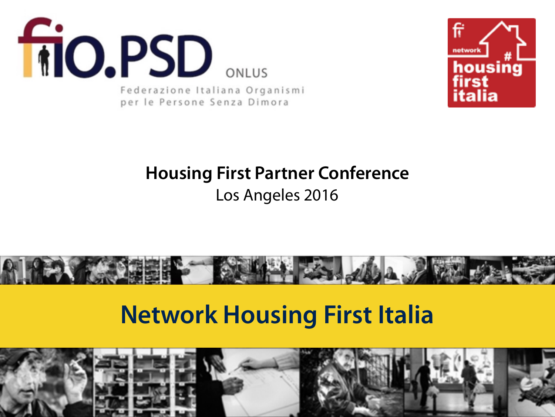



#### **Housing First Partner Conference**  Los Angeles 2016



#### **Network Housing First Italia**

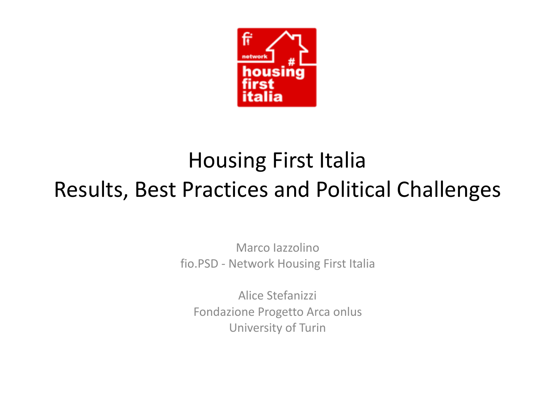

#### **Housing First Italia** Results, Best Practices and Political Challenges

Marco Iazzolino fio.PSD - Network Housing First Italia

Alice Stefanizzi Fondazione Progetto Arca onlus University of Turin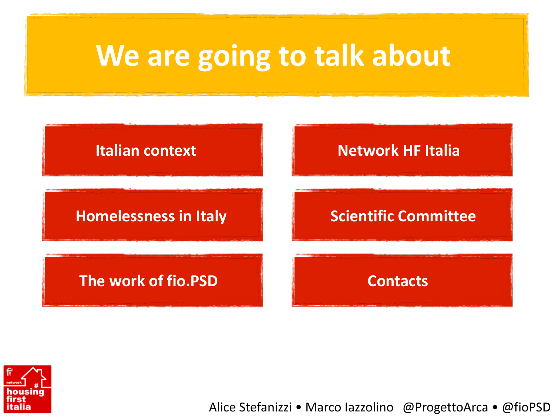# We are going to talk about



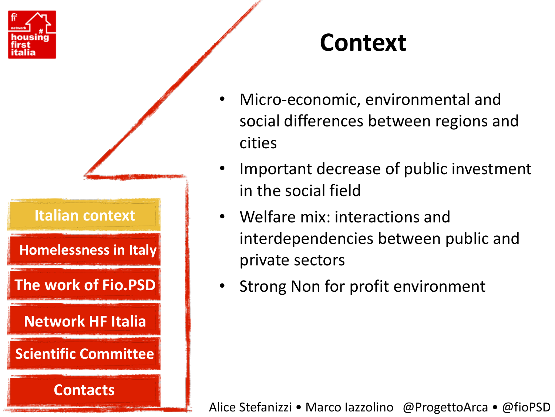

**Homelessness in Italy** 

**The work of Fio.PSD** 

**Network HF Italia** 

**Scientific Committee** 

**Contacts**

#### **Context**

- Micro-economic, environmental and social differences between regions and cities
- Important decrease of public investment in the social field
- Welfare mix: interactions and interdependencies between public and private sectors
- Strong Non for profit environment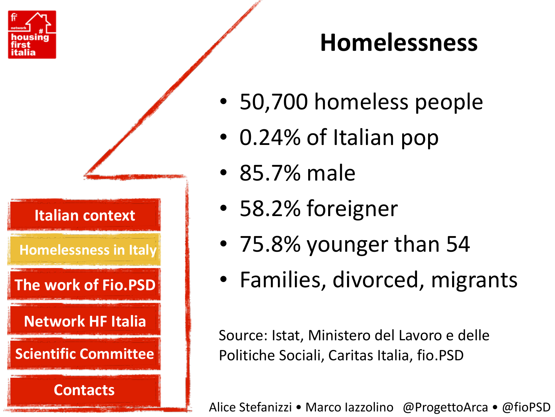

#### **Homelessness**

- 50,700 homeless people
- 0.24% of Italian pop
- 85.7% male
- 58.2% foreigner
- 75.8% younger than 54
- Families, divorced, migrants

Source: Istat, Ministero del Lavoro e delle Politiche Sociali, Caritas Italia, fio.PSD

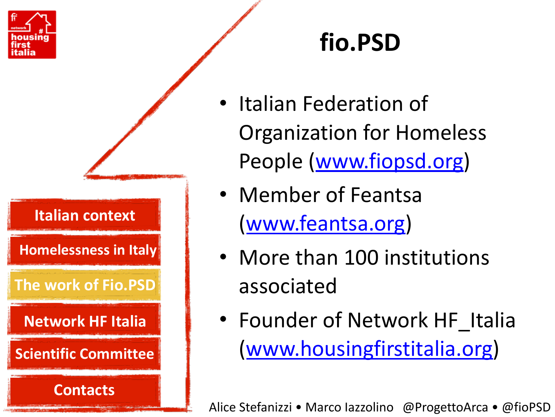

# **fio.PSD**

- Italian Federation of **Organization for Homeless** People ([www.fiopsd.org\)](http://www.fiopsd.org)
- Member of Feantsa ([www.feantsa.org\)](http://www.feantsa.org)
- More than 100 institutions associated
- Founder of Network HF Italia ([www.housingfirstitalia.org\)](http://www.housingfirstitalia.org)

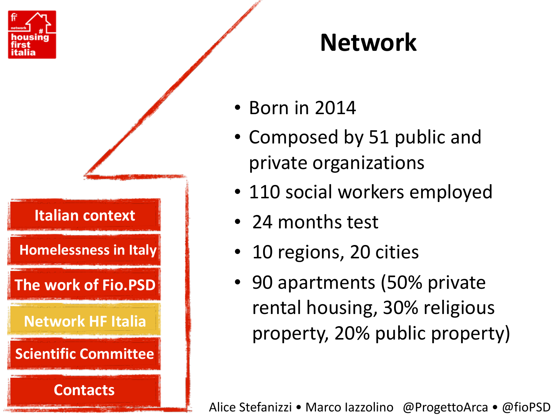

**Homelessness in Italy** 

**The work of Fio.PSD** 

**Network HF Italia** 

**Scientific Committee** 

**Contacts**

### **Network**

- Born in 2014
- Composed by 51 public and private organizations
- 110 social workers employed
- 24 months test
- 10 regions, 20 cities
- 90 apartments (50% private rental housing, 30% religious property, 20% public property)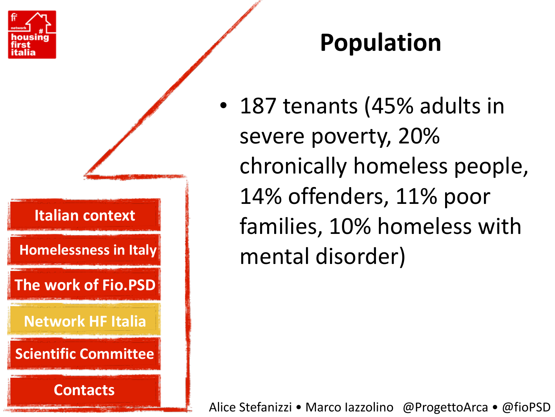

### **Population**

• 187 tenants (45% adults in severe poverty, 20% chronically homeless people, 14% offenders, 11% poor families, 10% homeless with mental disorder)

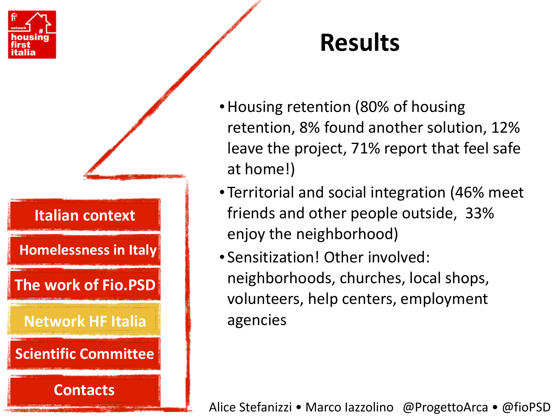

**Homelessness in Italy** 

**The work of Fio.PSD** 

**Network HF Italia** 

**Scientific Committee**

**Contacts**

### **Results**

- Housing retention (80% of housing retention, 8% found another solution, 12% leave the project, 71% report that feel safe at home!)
- Territorial and social integration (46% meet friends and other people outside, 33% enjoy the neighborhood)
- Sensitization! Other involved: neighborhoods, churches, local shops, volunteers, help centers, employment agencies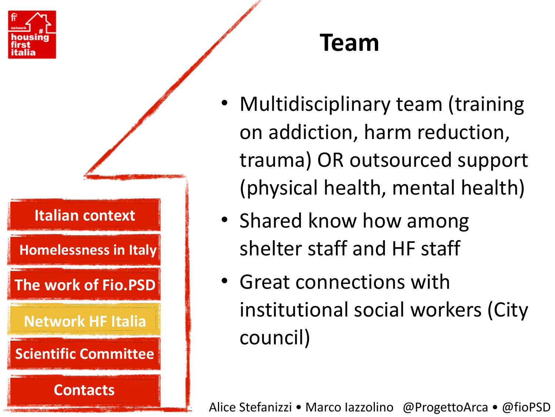

**Homelessness in Italy** 

**The work of Fio.PSD** 

**Network HF Italia** 

**Scientific Committee** 

**Contacts**

#### **Team**

- Multidisciplinary team (training on addiction, harm reduction, trauma) OR outsourced support (physical health, mental health)
- Shared know how among shelter staff and HF staff
- **Great connections with** institutional social workers (City council)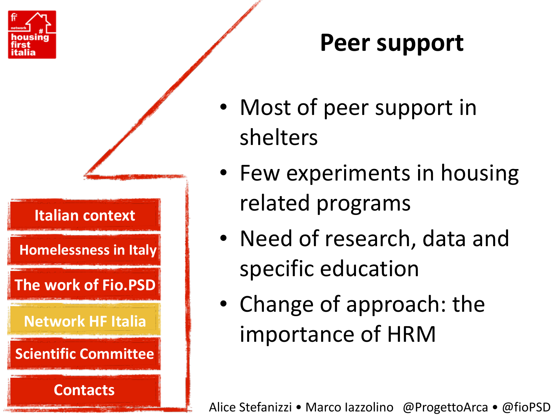

**Homelessness in Italy** 

**The work of Fio.PSD** 

**Network HF Italia** 

**Scientific Committee** 

**Contacts**

#### **Peer support**

- Most of peer support in shelters
- Few experiments in housing related programs
- Need of research, data and specific education
- Change of approach: the importance of HRM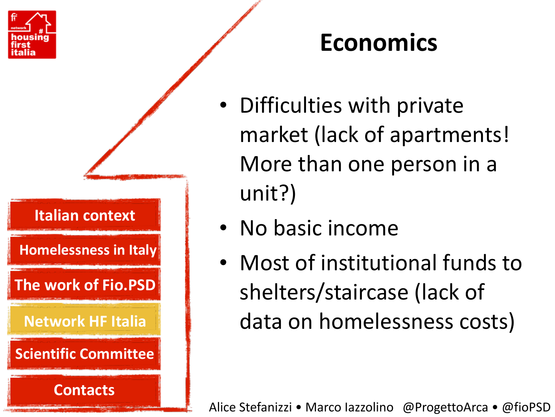

**Homelessness in Italy** 

**The work of Fio.PSD** 

**Network HF Italia** 

**Scientific Committee** 

**Contacts**

#### **Economics**

- Difficulties with private market (lack of apartments! More than one person in a unit?)
- No basic income
- Most of institutional funds to shelters/staircase (lack of data on homelessness costs)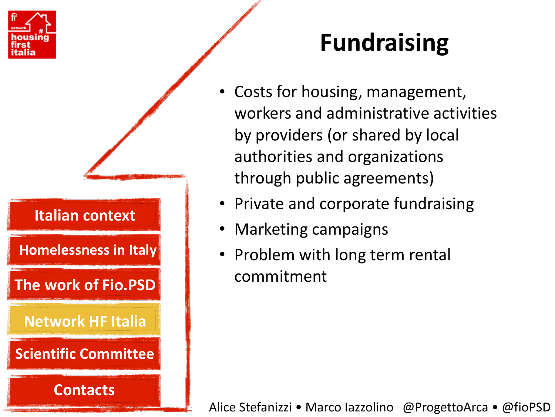

**Homelessness in Italy** 

**The work of Fio.PSD** 

**Network HF Italia** 

**Scientific Committee**

**Contacts**

# **Fundraising**

- Costs for housing, management, workers and administrative activities by providers (or shared by local authorities and organizations through public agreements)
- Private and corporate fundraising
- Marketing campaigns
- Problem with long term rental commitment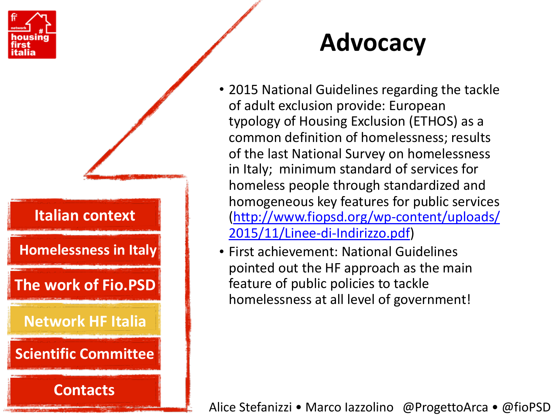

**Homelessness in Italy** 

**The work of Fio.PSD** 

**Network HF Italia** 

**Scientific Committee**

**Contacts**

#### **Advocacy**

- 2015 National Guidelines regarding the tackle of adult exclusion provide: European typology of Housing Exclusion (ETHOS) as a common definition of homelessness; results of the last National Survey on homelessness in Italy; minimum standard of services for homeless people through standardized and homogeneous key features for public services [\(http://www.fiopsd.org/wp-content/uploads/](http://www.fiopsd.org/wp-content/uploads/2015/11/Linee-di-Indirizzo.pdf) 2015/11/Linee-di-Indirizzo.pdf)
- **First achievement: National Guidelines** pointed out the HF approach as the main feature of public policies to tackle homelessness at all level of government!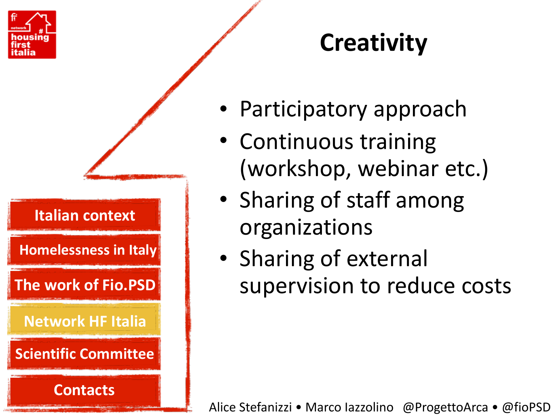

**Homelessness in Italy** 

**The work of Fio.PSD** 

**Network HF Italia** 

**Scientific Committee** 

**Contacts**

# **Creativity**

- Participatory approach
- Continuous training (workshop, webinar etc.)
- Sharing of staff among organizations
- Sharing of external supervision to reduce costs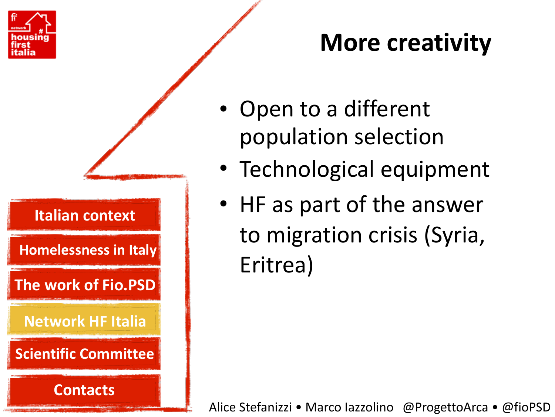

#### **More creativity**

- Open to a different population selection
- Technological equipment
- HF as part of the answer to migration crisis (Syria, Eritrea)

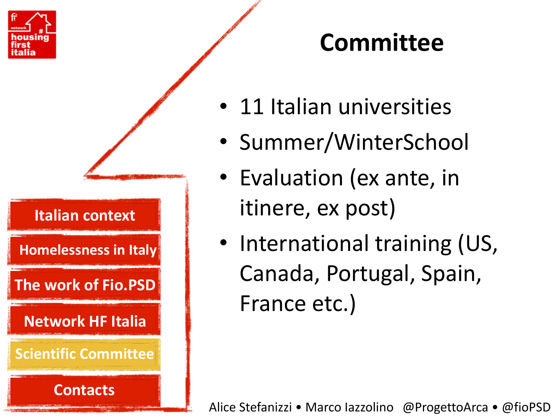

**Homelessness in Italy** 

**The work of Fio.PSD** 

**Network HF Italia** 

**Scientific Committee** 

**Contacts**

#### **Committee**

- 11 Italian universities
- Summer/WinterSchool
- Evaluation (ex ante, in itinere, ex post)
- International training (US, Canada, Portugal, Spain, France etc.)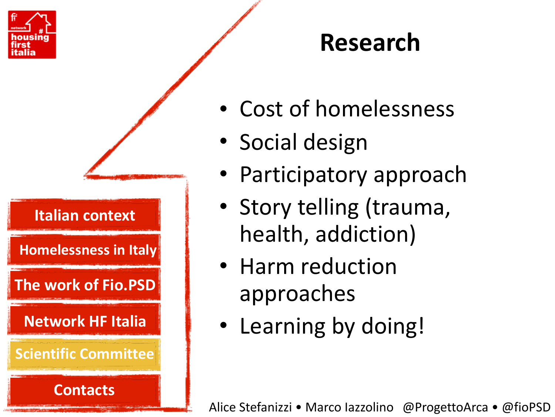

**Homelessness in Italy** 

**The work of Fio.PSD** 

**Network HF Italia** 

**Scientific Committee** 

**Contacts**

#### **Research**

- Cost of homelessness
- Social design
- Participatory approach
- Story telling (trauma, health, addiction)
- Harm reduction approaches
- Learning by doing!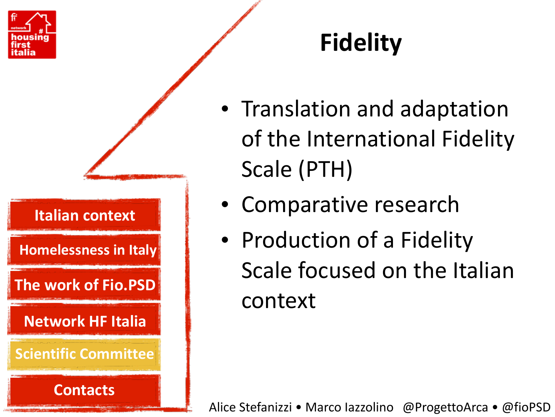

**Homelessness in Italy** 

**The work of Fio.PSD** 

**Network HF Italia** 

**Scientific Committee** 

**Contacts**

# **Fidelity**

- Translation and adaptation of the International Fidelity Scale (PTH)
- Comparative research
- Production of a Fidelity Scale focused on the Italian context